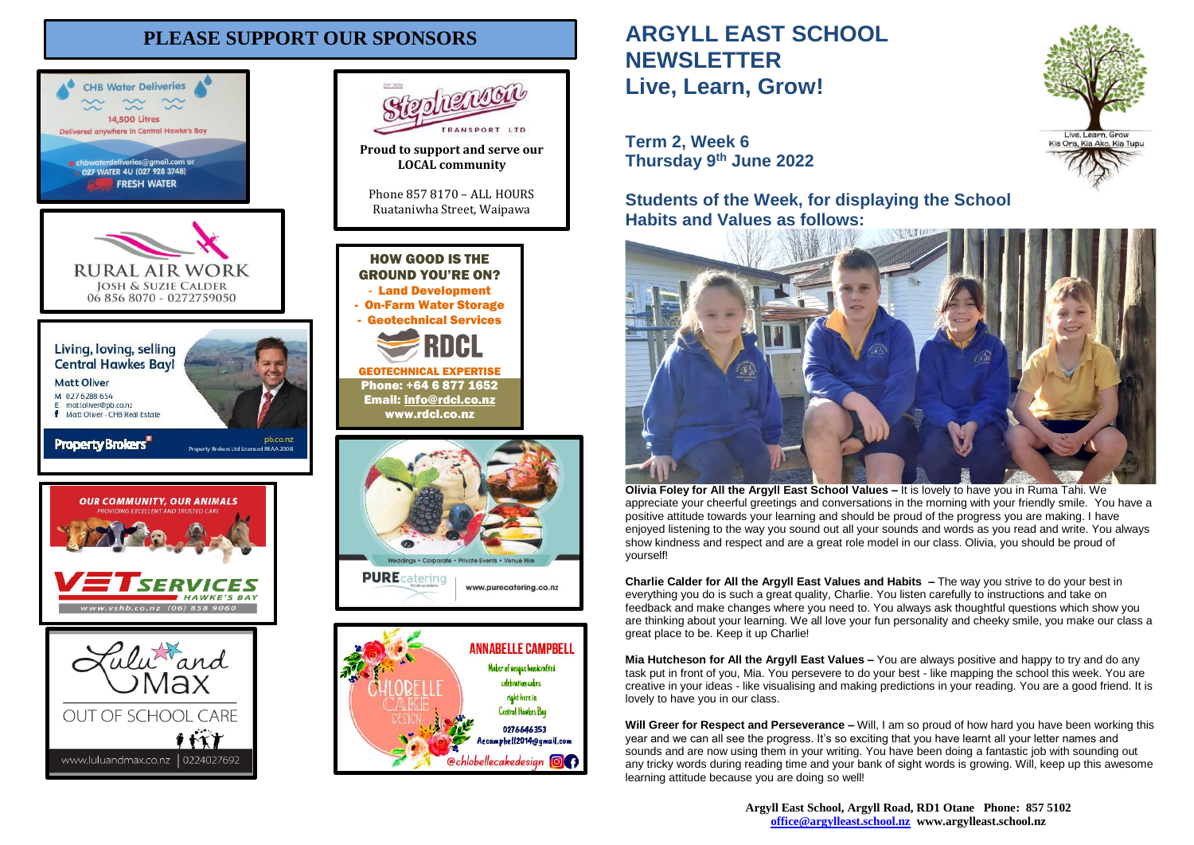# **PLEASE SUPPORT OUR SPONSORS**





0276646353

Aecampbell2014@gmail.com

**@chlobellecakedesign @@** 

popularion

PANSPORT ITE

# **ARGYLL EAST SCHOOL NEWSLETTER Live, Learn, Grow!**

**Term 2, Week 6 Thursday 9 th June 2022**

**Students of the Week, for displaying the School Habits and Values as follows:**



**Olivia Foley for All the Argyll East School Values –** It is lovely to have you in Ruma Tahi. We appreciate your cheerful greetings and conversations in the morning with your friendly smile. You have a positive attitude towards your learning and should be proud of the progress you are making. I have enjoyed listening to the way you sound out all your sounds and words as you read and write. You always show kindness and respect and are a great role model in our class. Olivia, you should be proud of yourself!

**Charlie Calder for All the Argyll East Values and Habits –** The way you strive to do your best in everything you do is such a great quality, Charlie. You listen carefully to instructions and take on feedback and make changes where you need to. You always ask thoughtful questions which show you are thinking about your learning. We all love your fun personality and cheeky smile, you make our class a great place to be. Keep it up Charlie!

**Mia Hutcheson for All the Argyll East Values –** You are always positive and happy to try and do any task put in front of you, Mia. You persevere to do your best - like mapping the school this week. You are creative in your ideas - like visualising and making predictions in your reading. You are a good friend. It is lovely to have you in our class.

**Will Greer for Respect and Perseverance –** Will, I am so proud of how hard you have been working this year and we can all see the progress. It's so exciting that you have learnt all your letter names and sounds and are now using them in your writing. You have been doing a fantastic job with sounding out any tricky words during reading time and your bank of sight words is growing. Will, keep up this awesome learning attitude because you are doing so well!

> **Argyll East School, Argyll Road, RD1 Otane Phone: 857 5102 [office@argylleast.school.nz](mailto:office@argylleast.school.nz) www.argylleast.school.nz**